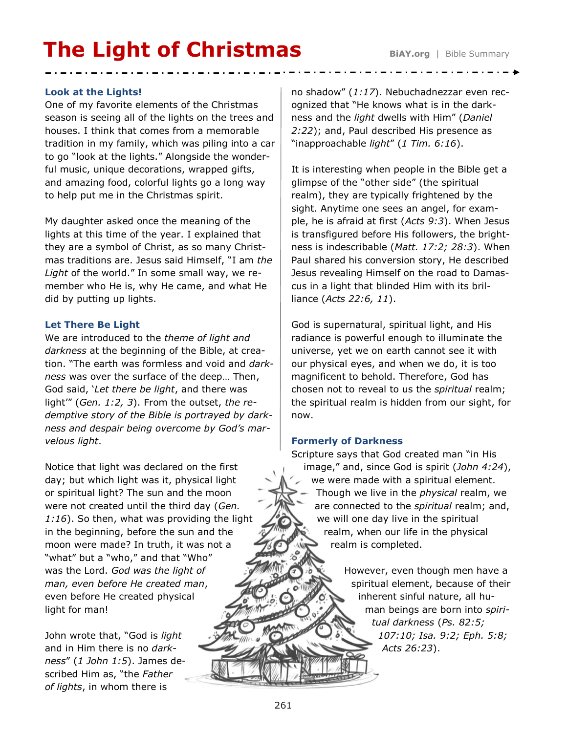# **The Light of Christmas BiAY.org** | Bible Summary

## **Look at the Lights!**

One of my favorite elements of the Christmas season is seeing all of the lights on the trees and houses. I think that comes from a memorable tradition in my family, which was piling into a car to go "look at the lights." Alongside the wonderful music, unique decorations, wrapped gifts, and amazing food, colorful lights go a long way to help put me in the Christmas spirit.

My daughter asked once the meaning of the lights at this time of the year. I explained that they are a symbol of Christ, as so many Christmas traditions are. Jesus said Himself, "I am *the Light* of the world." In some small way, we remember who He is, why He came, and what He did by putting up lights.

#### **Let There Be Light**

We are introduced to the *theme of light and darkness* at the beginning of the Bible, at creation. "The earth was formless and void and *darkness* was over the surface of the deep… Then, God said, '*Let there be light*, and there was light'" (*Gen. 1:2, 3*). From the outset, *the redemptive story of the Bible is portrayed by darkness and despair being overcome by God's marvelous light*.

Notice that light was declared on the first day; but which light was it, physical light or spiritual light? The sun and the moon were not created until the third day (*Gen. 1:16*). So then, what was providing the light in the beginning, before the sun and the moon were made? In truth, it was not a "what" but a "who," and that "Who" was the Lord. *God was the light of man, even before He created man*, even before He created physical light for man!

John wrote that, "God is *light* and in Him there is no *darkness*" (*1 John 1:5*). James described Him as, "the *Father of lights*, in whom there is

no shadow" (*1:17*). Nebuchadnezzar even recognized that "He knows what is in the darkness and the *light* dwells with Him" (*Daniel 2:22*); and, Paul described His presence as "inapproachable *light*" (*1 Tim. 6:16*).

It is interesting when people in the Bible get a glimpse of the "other side" (the spiritual realm), they are typically frightened by the sight. Anytime one sees an angel, for example, he is afraid at first (*Acts 9:3*). When Jesus is transfigured before His followers, the brightness is indescribable (*Matt. 17:2; 28:3*). When Paul shared his conversion story, He described Jesus revealing Himself on the road to Damascus in a light that blinded Him with its brilliance (*Acts 22:6, 11*).

God is supernatural, spiritual light, and His radiance is powerful enough to illuminate the universe, yet we on earth cannot see it with our physical eyes, and when we do, it is too magnificent to behold. Therefore, God has chosen not to reveal to us the *spiritual* realm; the spiritual realm is hidden from our sight, for now.

# **Formerly of Darkness**

Scripture says that God created man "in His image," and, since God is spirit (*John 4:24*), we were made with a spiritual element. Though we live in the *physical* realm, we are connected to the *spiritual* realm; and, we will one day live in the spiritual realm, when our life in the physical realm is completed.

> However, even though men have a spiritual element, because of their inherent sinful nature, all human beings are born into *spiritual darkness* (*Ps. 82:5; 107:10; Isa. 9:2; Eph. 5:8; Acts 26:23*).